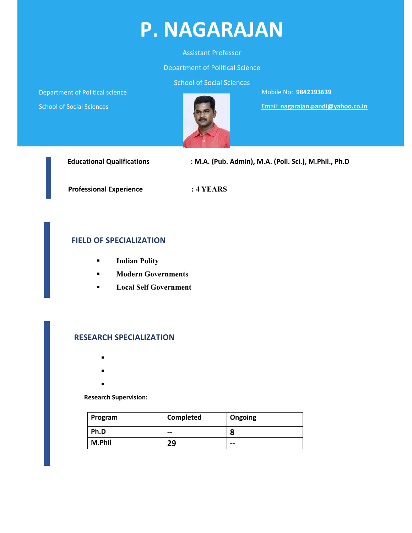

#### Assistant Professor

#### Department of Political Science

School of Social Sciences

Department of Political science

School of Social Sciences



Mobile No: **9842193639**

Email: **nagarajan.pandi@yahoo.co.in**

| <b>Educational Qualifications</b> | : M.A. (Pub. Admin), M.A. (Poli. Sci.), M.Phil., Ph.D |
|-----------------------------------|-------------------------------------------------------|
| <b>Professional Experience</b>    | $:4$ YEARS                                            |

#### **FIELD OF SPECIALIZATION**

- **Indian Polity**
- **Modern Governments**
- **Local Self Government**

#### **RESEARCH SPECIALIZATION**

- $\blacksquare$
- $\blacksquare$
- $\blacksquare$
- 

#### **Research Supervision:**

| Program | Completed | Ongoing |
|---------|-----------|---------|
| Ph.D    | --        | a<br>ο  |
| M.Phil  | 29        | $- -$   |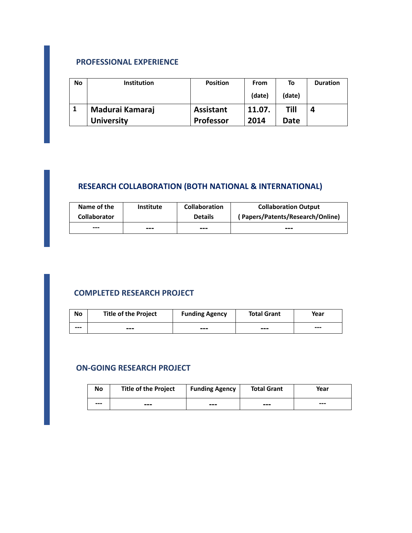#### **PROFESSIONAL EXPERIENCE**

| No | <b>Institution</b> | <b>Position</b>  | <b>From</b> | To     | <b>Duration</b> |
|----|--------------------|------------------|-------------|--------|-----------------|
|    |                    |                  | (date)      | (date) |                 |
|    | Madurai Kamaraj    | <b>Assistant</b> | 11.07.      | Till   |                 |
|    | <b>University</b>  | <b>Professor</b> | 2014        | Date   |                 |

# **RESEARCH COLLABORATION (BOTH NATIONAL & INTERNATIONAL)**

| Name of the         | Institute | <b>Collaboration</b> | <b>Collaboration Output</b>      |
|---------------------|-----------|----------------------|----------------------------------|
| <b>Collaborator</b> |           | <b>Details</b>       | (Papers/Patents/Research/Online) |
| ---                 | ---       | ---                  | ---                              |

### **COMPLETED RESEARCH PROJECT**

| No  | <b>Title of the Project</b> | <b>Funding Agency</b> | <b>Total Grant</b> | Year  |
|-----|-----------------------------|-----------------------|--------------------|-------|
| --- | ---                         | ---                   | $- - -$            | $---$ |

#### **ON‐GOING RESEARCH PROJECT**

| No  | <b>Title of the Project</b> | <b>Funding Agency</b> | <b>Total Grant</b> | Year |
|-----|-----------------------------|-----------------------|--------------------|------|
| --- | ---                         | ---                   | ---                | ---  |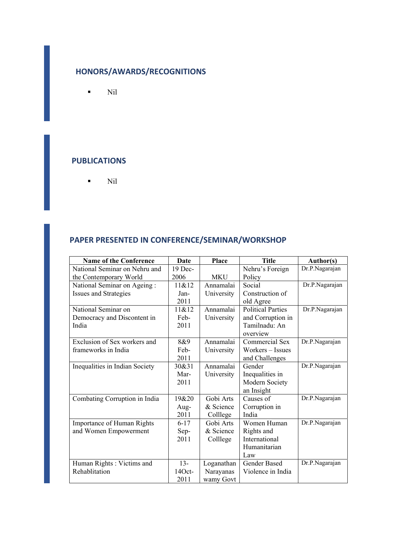## **HONORS/AWARDS/RECOGNITIONS**

 $\blacksquare$  Nil

#### **PUBLICATIONS**

 $\blacksquare$  Nil

### **PAPER PRESENTED IN CONFERENCE/SEMINAR/WORKSHOP**

| <b>Name of the Conference</b>  | Date      | <b>Place</b> | <b>Title</b>             | Author(s)      |
|--------------------------------|-----------|--------------|--------------------------|----------------|
| National Seminar on Nehru and  | $19$ Dec- |              | Nehru's Foreign          | Dr.P.Nagarajan |
| the Contemporary World         | 2006      | <b>MKU</b>   | Policy                   |                |
| National Seminar on Ageing:    | 11& 212   | Annamalai    | Social                   | Dr.P.Nagarajan |
| Issues and Strategies          | Jan-      | University   | Construction of          |                |
|                                | 2011      |              | old Agree                |                |
| National Seminar on            | 11&812    | Annamalai    | <b>Political Parties</b> | Dr.P.Nagarajan |
| Democracy and Discontent in    | Feb-      | University   | and Corruption in        |                |
| India                          | 2011      |              | Tamilnadu: An            |                |
|                                |           |              | overview                 |                |
| Exclusion of Sex workers and   | 8&9       | Annamalai    | Commercial Sex           | Dr.P.Nagarajan |
| frameworks in India            | Feb-      | University   | Workers – Issues         |                |
|                                | 2011      |              | and Challenges           |                |
| Inequalities in Indian Society | 30&31     | Annamalai    | Gender                   | Dr.P.Nagarajan |
|                                | Mar-      | University   | Inequalities in          |                |
|                                | 2011      |              | Modern Society           |                |
|                                |           |              | an Insight               |                |
| Combating Corruption in India  | 19&20     | Gobi Arts    | Causes of                | Dr.P.Nagarajan |
|                                | Aug-      | & Science    | Corruption in            |                |
|                                | 2011      | Colllege     | India                    |                |
| Importance of Human Rights     | $6 - 17$  | Gobi Arts    | Women Human              | Dr.P.Nagarajan |
| and Women Empowerment          | Sep-      | & Science    | Rights and               |                |
|                                | 2011      | Colllege     | International            |                |
|                                |           |              | Humanitarian             |                |
|                                |           |              | Law                      |                |
| Human Rights: Victims and      | $13 -$    | Loganathan   | <b>Gender Based</b>      | Dr.P.Nagarajan |
| Rehablitation                  | $14Oct -$ | Narayanas    | Violence in India        |                |
|                                | 2011      | wamy Govt    |                          |                |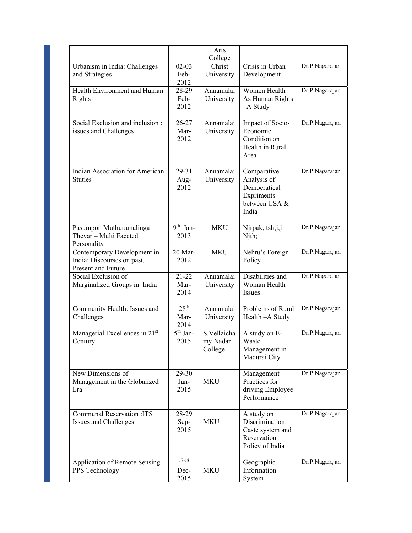|                                                                                 |                                  | Arts<br>College                    |                                                                                           |                |
|---------------------------------------------------------------------------------|----------------------------------|------------------------------------|-------------------------------------------------------------------------------------------|----------------|
| Urbanism in India: Challenges<br>and Strategies                                 | $02 - 03$<br>Feb-<br>2012        | Christ<br>University               | Crisis in Urban<br>Development                                                            | Dr.P.Nagarajan |
| Health Environment and Human<br>Rights                                          | 28-29<br>Feb-<br>2012            | Annamalai<br>University            | Women Health<br>As Human Rights<br>-A Study                                               | Dr.P.Nagarajan |
| Social Exclusion and inclusion:<br>issues and Challenges                        | $26 - 27$<br>Mar-<br>2012        | Annamalai<br>University            | Impact of Socio-<br>Economic<br>Condition on<br>Health in Rural<br>Area                   | Dr.P.Nagarajan |
| Indian Association for American<br><b>Stuties</b>                               | 29-31<br>Aug-<br>2012            | Annamalai<br>University            | Comparative<br>Analysis of<br>Democratical<br>Expriments<br>between USA &<br>India        | Dr.P.Nagarajan |
| Pasumpon Muthuramalinga<br>Thevar - Multi Faceted<br>Personality                | $9th$ Jan-<br>2013               | <b>MKU</b>                         | Njrpak; tsh;j;j<br>Njth;                                                                  | Dr.P.Nagarajan |
| Contemporary Development in<br>India: Discourses on past,<br>Present and Future | 20 Mar-<br>2012                  | <b>MKU</b>                         | Nehru's Foreign<br>Policy                                                                 | Dr.P.Nagarajan |
| Social Exclusion of<br>Marginalized Groups in India                             | $21 - 22$<br>Mar-<br>2014        | Annamalai<br>University            | Disabilities and<br>Woman Health<br>Issues                                                | Dr.P.Nagarajan |
| Community Health: Issues and<br>Challenges                                      | 28 <sup>th</sup><br>Mar-<br>2014 | Annamalai<br>University            | Problems of Rural<br>Health - A Study                                                     | Dr.P.Nagarajan |
| Managerial Excellences in 21st<br>Century                                       | $5th$ Jan-<br>2015               | S.Vellaicha<br>my Nadar<br>College | A study on E-<br>Waste<br>Management in<br>Madurai City                                   | Dr.P.Nagarajan |
| New Dimensions of<br>Management in the Globalized<br>Era                        | 29-30<br>Jan-<br>2015            | <b>MKU</b>                         | Management<br>Practices for<br>driving Employee<br>Performance                            | Dr.P.Nagarajan |
| <b>Communal Reservation: ITS</b><br>Issues and Challenges                       | 28-29<br>Sep-<br>2015            | MKU                                | A study on<br><b>Discrimination</b><br>Caste system and<br>Reservation<br>Policy of India | Dr.P.Nagarajan |
| Application of Remote Sensing<br>PPS Technology                                 | $17 - 18$<br>Dec-<br>2015        | <b>MKU</b>                         | Geographic<br>Information<br>System                                                       | Dr.P.Nagarajan |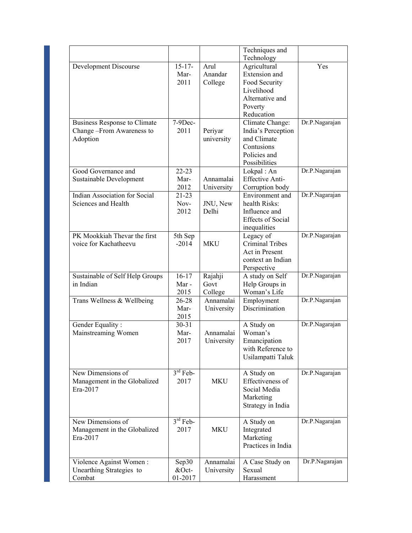|                                 |             |            | Techniques and                  |                |
|---------------------------------|-------------|------------|---------------------------------|----------------|
|                                 |             |            | Technology                      |                |
| Development Discourse           | $15 - 17 -$ | Arul       | Agricultural                    | Yes            |
|                                 | Mar-        | Anandar    | Extension and                   |                |
|                                 | 2011        | College    | Food Security                   |                |
|                                 |             |            | Livelihood                      |                |
|                                 |             |            | Alternative and                 |                |
|                                 |             |            | Poverty                         |                |
|                                 |             |            | Reducation                      |                |
| Business Response to Climate    | $7-9$ Dec-  |            | Climate Change:                 | Dr.P.Nagarajan |
| Change - From Awareness to      | 2011        | Periyar    | India's Perception              |                |
| Adoption                        |             | university | and Climate                     |                |
|                                 |             |            | Contusions                      |                |
|                                 |             |            | Policies and                    |                |
|                                 |             |            | Possibilities                   |                |
| Good Governance and             | $22 - 23$   |            | Lokpal: An                      | Dr.P.Nagarajan |
| Sustainable Development         | Mar-        | Annamalai  | <b>Effective Anti-</b>          |                |
|                                 | 2012        | University | Corruption body                 |                |
| Indian Association for Social   | $21 - 23$   |            | Environment and                 | Dr.P.Nagarajan |
| Sciences and Health             | Nov-        | JNU, New   | health Risks:                   |                |
|                                 | 2012        | Delhi      | Influence and                   |                |
|                                 |             |            | <b>Effects of Social</b>        |                |
|                                 |             |            | inequalities                    |                |
| PK Mookkiah Thevar the first    | 5th Sep     |            | Legacy of                       | Dr.P.Nagarajan |
| voice for Kachatheevu           | $-2014$     | <b>MKU</b> | <b>Criminal Tribes</b>          |                |
|                                 |             |            | Act in Present                  |                |
|                                 |             |            | context an Indian               |                |
|                                 |             |            | Perspective                     |                |
| Sustainable of Self Help Groups | $16 - 17$   | Rajahji    | A study on Self                 | Dr.P.Nagarajan |
| in Indian                       | Mar-        | Govt       | Help Groups in                  |                |
|                                 | 2015        | College    | Woman's Life                    |                |
| Trans Wellness & Wellbeing      | 26-28       | Annamalai  | Employment                      | Dr.P.Nagarajan |
|                                 | Mar-        | University | <b>Discrimination</b>           |                |
|                                 | 2015        |            |                                 |                |
| Gender Equality:                | $30 - 31$   |            | A Study on                      | Dr.P.Nagarajan |
| Mainstreaming Women             | Mar-        | Annamalai  | Woman's                         |                |
|                                 | 2017        | University | Emancipation                    |                |
|                                 |             |            | with Reference to               |                |
|                                 |             |            | Usilampatti Taluk               |                |
|                                 |             |            |                                 |                |
| New Dimensions of               | $3rd$ Feb-  |            | A Study on                      | Dr.P.Nagarajan |
| Management in the Globalized    | 2017        | <b>MKU</b> | Effectiveness of                |                |
| Era-2017                        |             |            | Social Media                    |                |
|                                 |             |            | Marketing                       |                |
|                                 |             |            | Strategy in India               |                |
|                                 |             |            |                                 |                |
| New Dimensions of               | $3rd$ Feb-  |            | A Study on                      | Dr.P.Nagarajan |
| Management in the Globalized    | 2017        | <b>MKU</b> | Integrated                      |                |
| Era-2017                        |             |            | Marketing<br>Practices in India |                |
|                                 |             |            |                                 |                |
| Violence Against Women:         | Sep30       | Annamalai  | A Case Study on                 | Dr.P.Nagarajan |
| Unearthing Strategies to        | $&$ Oct-    | University | Sexual                          |                |
| Combat                          | 01-2017     |            | Harassment                      |                |
|                                 |             |            |                                 |                |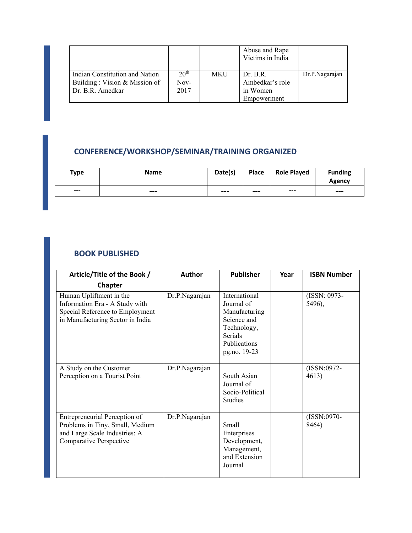|                                |                  |            | Abuse and Rape<br>Victims in India |                |
|--------------------------------|------------------|------------|------------------------------------|----------------|
| Indian Constitution and Nation | 20 <sup>th</sup> | <b>MKU</b> | Dr. B.R.                           | Dr.P.Nagarajan |
| Building: Vision & Mission of  | Nov-             |            | Ambedkar's role                    |                |
| Dr. B.R. Amedkar               | 2017             |            | in Women                           |                |
|                                |                  |            | Empowerment                        |                |

# **CONFERENCE/WORKSHOP/SEMINAR/TRAINING ORGANIZED**

| Type  | <b>Name</b> | Date(s) | Place | <b>Role Played</b> | <b>Funding</b><br>Agency |
|-------|-------------|---------|-------|--------------------|--------------------------|
| $---$ | $- - -$     | ---     | ---   | $--$               | ---                      |

## **BOOK PUBLISHED**

| Article/Title of the Book /<br><b>Author</b>                                                                                     |                | <b>Publisher</b>                                                                                                             | Year | <b>ISBN Number</b>     |
|----------------------------------------------------------------------------------------------------------------------------------|----------------|------------------------------------------------------------------------------------------------------------------------------|------|------------------------|
| <b>Chapter</b>                                                                                                                   |                |                                                                                                                              |      |                        |
| Human Upliftment in the<br>Information Era - A Study with<br>Special Reference to Employment<br>in Manufacturing Sector in India | Dr.P.Nagarajan | International<br>Journal of<br>Manufacturing<br>Science and<br>Technology,<br><b>Serials</b><br>Publications<br>pg.no. 19-23 |      | (ISSN: 0973-<br>5496), |
| A Study on the Customer<br>Perception on a Tourist Point                                                                         | Dr.P.Nagarajan | South Asian<br>Journal of<br>Socio-Political<br>Studies                                                                      |      | (ISSN:0972-<br>4613)   |
| Entrepreneurial Perception of<br>Problems in Tiny, Small, Medium<br>and Large Scale Industries: A<br>Comparative Perspective     | Dr.P.Nagarajan | Small<br>Enterprises<br>Development,<br>Management,<br>and Extension<br>Journal                                              |      | (ISSN:0970-<br>8464)   |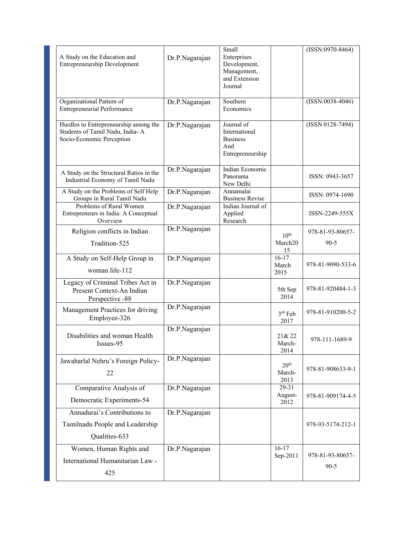| A Study on the Education and<br><b>Entrepreneurship Development</b>                                   | Dr.P.Nagarajan | Small<br>Enterprises<br>Development,<br>Management,<br>and Extension<br>Journal |                                    | $(ISSN:0970-8464)$ |
|-------------------------------------------------------------------------------------------------------|----------------|---------------------------------------------------------------------------------|------------------------------------|--------------------|
| Organizational Pattern of<br><b>Entrepreneurial Performance</b>                                       | Dr.P.Nagarajan | Southern<br>Economics                                                           |                                    | $(ISSN:0038-4046)$ |
| Hurdles to Entrepreneurship among the<br>Students of Tamil Nadu, India-A<br>Socio-Economic Perception | Dr.P.Nagarajan | Journal of<br>International<br><b>Business</b><br>And<br>Entrepreneurship       |                                    | $(ISSN 0128-7494)$ |
| A Study on the Structural Ratios in the<br>Industrial Economy of Tamil Nadu                           | Dr.P.Nagarajan | Indian Economic<br>Panorama<br>New Delhi                                        |                                    | ISSN: 0943-3657    |
| A Study on the Problems of Self Help<br>Groups in Rural Tamil Nadu                                    | Dr.P.Nagarajan | Annamalai<br><b>Business Revise</b>                                             |                                    | ISSN: 0974-1690    |
| Problems of Rural Women<br>Entrepreneurs in India: A Conceptual<br>Overview                           | Dr.P.Nagarajan | Indian Journal of<br>Applied<br>Research                                        |                                    | ISSN-2249-555X     |
| Religion conflicts in Indian                                                                          | Dr.P.Nagarajan |                                                                                 | 10 <sup>th</sup>                   | 978-81-93-80657-   |
| Tradition-525                                                                                         |                |                                                                                 | March <sub>20</sub><br>15          | $90 - 5$           |
| A Study on Self-Help Group in<br>woman life-112                                                       | Dr.P.Nagarajan |                                                                                 | $16-17$<br>March<br>2015           | 978-81-9090-533-6  |
| Legacy of Criminal Tribes Act in<br>Present Context-An Indian<br>Perspective -88                      | Dr.P.Nagarajan |                                                                                 | 5th Sep<br>2014                    | 978-81-920484-1-3  |
| Management Practices for driving<br>Employee-326                                                      | Dr.P.Nagarajan |                                                                                 | 3rd Feb<br>2017                    | 978-81-910200-5-2  |
| Disabilities and woman Health<br>Issues-95                                                            | Dr.P.Nagarajan |                                                                                 | 21& 22<br>March-<br>2014           | 978-111-1689-9     |
| Jawaharlal Nehru's Foreign Policy-<br>22                                                              | Dr.P.Nagarajan |                                                                                 | 20 <sup>th</sup><br>March-<br>2013 | 978-81-908633-9-1  |
| Comparative Analysis of                                                                               | Dr.P.Nagarajan |                                                                                 | $29 - 31$<br>August-               | 978-81-909174-4-5  |
| Democratic Experiments-54                                                                             |                |                                                                                 | 2012                               |                    |
| Annadurai's Contributions to                                                                          | Dr.P.Nagarajan |                                                                                 |                                    |                    |
| Tamilnadu People and Leadership                                                                       |                |                                                                                 |                                    | 978-93-5174-212-1  |
| Qualities-633                                                                                         |                |                                                                                 |                                    |                    |
| Women, Human Rights and                                                                               | Dr.P.Nagarajan |                                                                                 | $16-17$<br>Sep-2011                | 978-81-93-80657-   |
| International Humanitarian Law -                                                                      |                |                                                                                 |                                    | $90 - 5$           |
| 425                                                                                                   |                |                                                                                 |                                    |                    |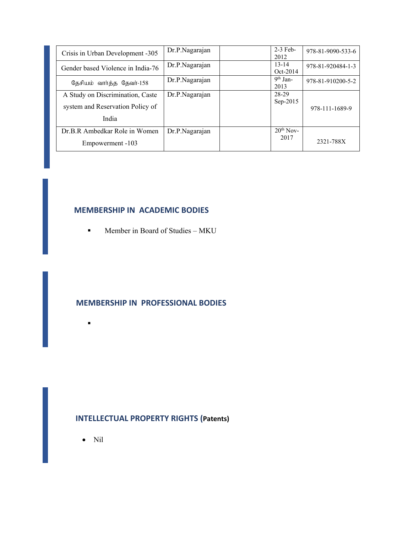| Crisis in Urban Development -305  | Dr.P.Nagarajan | $2-3$ Feb-<br>2012    | 978-81-9090-533-6 |
|-----------------------------------|----------------|-----------------------|-------------------|
| Gender based Violence in India-76 | Dr.P.Nagarajan | $13 - 14$<br>Oct-2014 | 978-81-920484-1-3 |
| தேசியம் வார்த்த தேவர்-158         | Dr.P.Nagarajan | $9th$ Jan-<br>2013    | 978-81-910200-5-2 |
| A Study on Discrimination, Caste  | Dr.P.Nagarajan | 28-29                 |                   |
| system and Reservation Policy of  |                | Sep-2015              | 978-111-1689-9    |
| India                             |                |                       |                   |
| Dr.B.R Ambedkar Role in Women     | Dr.P.Nagarajan | $20th$ Nov-           |                   |
| Empowerment -103                  |                | 2017                  | 2321-788X         |

### **MEMBERSHIP IN ACADEMIC BODIES**

 $\blacksquare$  Member in Board of Studies – MKU

#### **MEMBERSHIP IN PROFESSIONAL BODIES**

# **INTELLECTUAL PROPERTY RIGHTS (Patents)**

• Nil

 $\blacksquare$